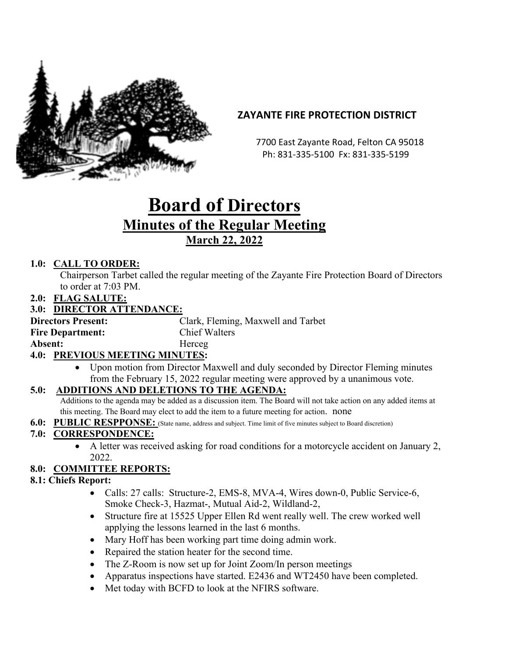

# **ZAYANTE FIRE PROTECTION DISTRICT**

 7700 East Zayante Road, Felton CA 95018 Ph: 831-335-5100 Fx: 831-335-5199

# **Board of Directors Minutes of the Regular Meeting March 22, 2022**

# **1.0: CALL TO ORDER:**

Chairperson Tarbet called the regular meeting of the Zayante Fire Protection Board of Directors to order at 7:03 PM.

**2.0: FLAG SALUTE:**

#### **3.0: DIRECTOR ATTENDANCE:**

**Directors Present:** Clark, Fleming, Maxwell and Tarbet **Fire Department:** Chief Walters Absent: **Herceg** 

#### **4.0: PREVIOUS MEETING MINUTES:**

• Upon motion from Director Maxwell and duly seconded by Director Fleming minutes from the February 15, 2022 regular meeting were approved by a unanimous vote.

#### **5.0: ADDITIONS AND DELETIONS TO THE AGENDA:**

Additions to the agenda may be added as a discussion item. The Board will not take action on any added items at this meeting. The Board may elect to add the item to a future meeting for action. none

**6.0: PUBLIC RESPPONSE:** (State name, address and subject. Time limit of five minutes subject to Board discretion)

#### **7.0: CORRESPONDENCE:**

• A letter was received asking for road conditions for a motorcycle accident on January 2, 2022.

# **8.0: COMMITTEE REPORTS:**

#### **8.1: Chiefs Report:**

- Calls: 27 calls: Structure-2, EMS-8, MVA-4, Wires down-0, Public Service-6, Smoke Check-3, Hazmat-, Mutual Aid-2, Wildland-2,
- Structure fire at 15525 Upper Ellen Rd went really well. The crew worked well applying the lessons learned in the last 6 months.
- Mary Hoff has been working part time doing admin work.
- Repaired the station heater for the second time.
- The Z-Room is now set up for Joint Zoom/In person meetings
- Apparatus inspections have started. E2436 and WT2450 have been completed.
- Met today with BCFD to look at the NFIRS software.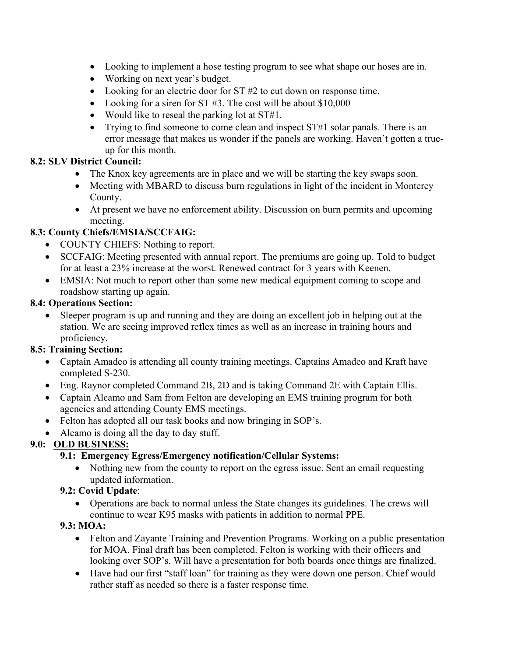- Looking to implement a hose testing program to see what shape our hoses are in.
- Working on next year's budget.
- Looking for an electric door for ST #2 to cut down on response time.
- Looking for a siren for ST #3. The cost will be about \$10,000
- Would like to reseal the parking lot at ST#1.
- Trying to find someone to come clean and inspect ST#1 solar panals. There is an error message that makes us wonder if the panels are working. Haven't gotten a trueup for this month.

#### **8.2: SLV District Council:**

- The Knox key agreements are in place and we will be starting the key swaps soon.
- Meeting with MBARD to discuss burn regulations in light of the incident in Monterey County.
- At present we have no enforcement ability. Discussion on burn permits and upcoming meeting.

# **8.3: County Chiefs/EMSIA/SCCFAIG:**

- COUNTY CHIEFS: Nothing to report.
- SCCFAIG: Meeting presented with annual report. The premiums are going up. Told to budget for at least a 23% increase at the worst. Renewed contract for 3 years with Keenen.
- EMSIA: Not much to report other than some new medical equipment coming to scope and roadshow starting up again.

#### **8.4: Operations Section:**

Sleeper program is up and running and they are doing an excellent job in helping out at the station. We are seeing improved reflex times as well as an increase in training hours and proficiency.

#### **8.5: Training Section:**

- Captain Amadeo is attending all county training meetings. Captains Amadeo and Kraft have completed S-230.
- Eng. Raynor completed Command 2B, 2D and is taking Command 2E with Captain Ellis.
- Captain Alcamo and Sam from Felton are developing an EMS training program for both agencies and attending County EMS meetings.
- Felton has adopted all our task books and now bringing in SOP's.
- Alcamo is doing all the day to day stuff.

#### **9.0: OLD BUSINESS:**

#### **9.1: Emergency Egress/Emergency notification/Cellular Systems:**

• Nothing new from the county to report on the egress issue. Sent an email requesting updated information.

#### **9.2: Covid Update**:

• Operations are back to normal unless the State changes its guidelines. The crews will continue to wear K95 masks with patients in addition to normal PPE.

#### **9.3: MOA:**

- Felton and Zayante Training and Prevention Programs. Working on a public presentation for MOA. Final draft has been completed. Felton is working with their officers and looking over SOP's. Will have a presentation for both boards once things are finalized.
- Have had our first "staff loan" for training as they were down one person. Chief would rather staff as needed so there is a faster response time.